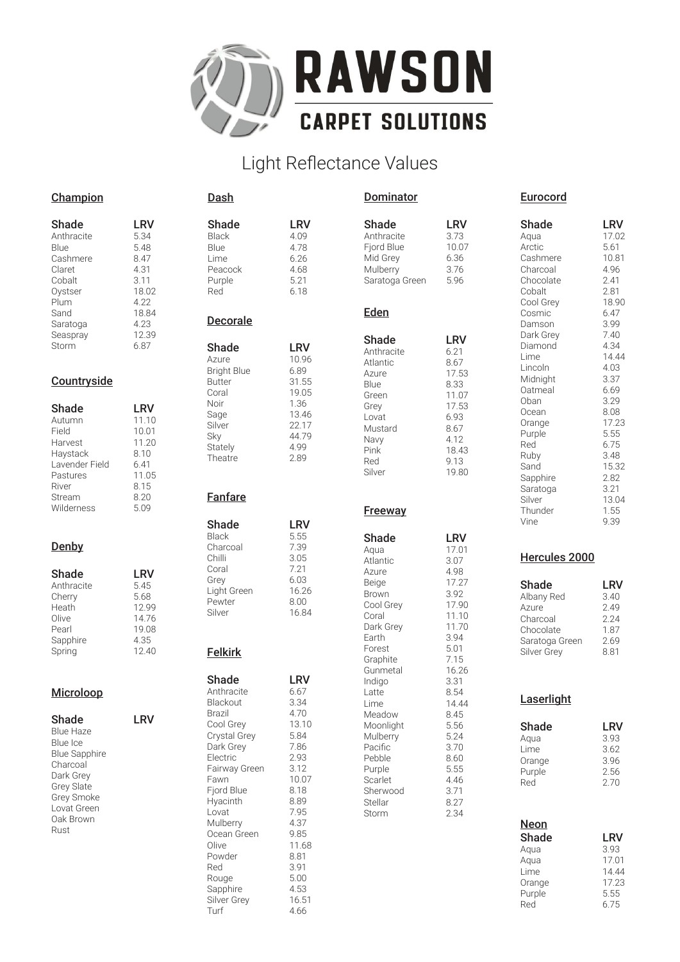

# Light Reflectance Values

| Champion             |            | Dash                   |              | <b>Dominator</b>    |              | Eurocord        |              |
|----------------------|------------|------------------------|--------------|---------------------|--------------|-----------------|--------------|
| Shade                | <b>LRV</b> | <b>Shade</b>           | <b>LRV</b>   | Shade               | LRV          | Shade           | LRV          |
| Anthracite           | 5.34       | <b>Black</b>           | 4.09         | Anthracite          | 3.73         | Aqua            | 17.02        |
| Blue                 | 5.48       | Blue                   | 4.78         | Fjord Blue          | 10.07        | Arctic          | 5.61         |
| Cashmere             | 8.47       | Lime                   | 6.26         | Mid Grey            | 6.36         | Cashmere        | 10.81        |
| Claret               | 4.31       | Peacock                | 4.68         | Mulberry            | 3.76         | Charcoal        | 4.96         |
| Cobalt               | 3.11       | Purple                 | 5.21         | Saratoga Green      | 5.96         | Chocolate       | 2.41         |
| Oystser              | 18.02      | Red                    | 6.18         |                     |              | Cobalt          | 2.81         |
| Plum                 | 4.22       |                        |              |                     |              | Cool Grey       | 18.90        |
| Sand                 | 18.84      |                        |              | Eden                |              | Cosmic          | 6.47         |
| Saratoga             | 4.23       | Decorale               |              |                     |              | Damson          | 3.99         |
| Seaspray             | 12.39      |                        |              | Shade               | <b>LRV</b>   | Dark Grey       | 7.40         |
| Storm                | 6.87       | Shade                  | <b>LRV</b>   | Anthracite          | 6.21         | Diamond         | 4.34         |
|                      |            | Azure                  | 10.96        | Atlantic            | 8.67         | Lime            | 14.44        |
|                      |            | <b>Bright Blue</b>     | 6.89         | Azure               | 17.53        | Lincoln         | 4.03         |
| Countryside          |            | <b>Butter</b>          | 31.55        | Blue                | 8.33         | Midnight        | 3.37         |
|                      |            | Coral                  | 19.05        | Green               | 11.07        | Oatmeal         | 6.69         |
| Shade                | <b>LRV</b> | Noir                   | 1.36         | Grey                | 17.53        | Oban            | 3.29         |
| Autumn               | 11.10      | Sage                   | 13.46        | Lovat               | 6.93         | Ocean           | 8.08         |
| Field                | 10.01      | Silver                 | 22.17        | Mustard             | 8.67         | Orange          | 17.23        |
| Harvest              | 11.20      | Sky                    | 44.79        | Navy                | 4.12         | Purple          | 5.55         |
| Haystack             | 8.10       | Stately                | 4.99         | Pink                | 18.43        | Red             | 6.75         |
| Lavender Field       | 6.41       | Theatre                | 2.89         | Red                 | 9.13         | Ruby            | 3.48         |
| Pastures             | 11.05      |                        |              | Silver              | 19.80        | Sand            | 15.32        |
| River                | 8.15       |                        |              |                     |              | Sapphire        | 2.82         |
| Stream               | 8.20       | <b>Fanfare</b>         |              |                     |              | Saratoga        | 3.21         |
| Wilderness           | 5.09       |                        |              |                     |              | Silver          | 13.04        |
|                      |            |                        |              | Freeway             |              | Thunder<br>Vine | 1.55<br>9.39 |
|                      |            | Shade                  | <b>LRV</b>   |                     |              |                 |              |
|                      |            | <b>Black</b>           | 5.55         | Shade               | <b>LRV</b>   |                 |              |
| Denby                |            | Charcoal               | 7.39         | Aqua                | 17.01        |                 |              |
|                      |            | Chilli                 | 3.05         | Atlantic            | 3.07         | Hercules 2000   |              |
| Shade                | <b>LRV</b> | Coral                  | 7.21         | Azure               | 4.98         |                 |              |
| Anthracite           | 5.45       | Grey                   | 6.03         | Beige               | 17.27        | Shade           | <b>LRV</b>   |
| Cherry               | 5.68       | Light Green            | 16.26        | <b>Brown</b>        | 3.92         | Albany Red      | 3.40         |
| Heath                | 12.99      | Pewter                 | 8.00         | Cool Grey           | 17.90        | Azure           | 2.49         |
| Olive                | 14.76      | Silver                 | 16.84        | Coral               | 11.10        | Charcoal        | 2.24         |
| Pearl                | 19.08      |                        |              | Dark Grey           | 11.70        | Chocolate       | 1.87         |
| Sapphire             | 4.35       |                        |              | Earth               | 3.94         | Saratoga Green  | 2.69         |
| Spring               | 12.40      | <b>Felkirk</b>         |              | Forest              | 5.01         | Silver Grey     | 8.81         |
|                      |            |                        |              | Graphite            | 7.15         |                 |              |
|                      |            | Shade                  | <b>LRV</b>   | Gunmetal            | 16.26        |                 |              |
|                      |            |                        |              | Indigo              | 3.31         |                 |              |
| Microloop            |            | Anthracite<br>Blackout | 6.67         | Latte               | 8.54         | Laserlight      |              |
|                      |            |                        | 3.34<br>4.70 | Lime                | 14.44        |                 |              |
| Shade                | <b>LRV</b> | Brazil<br>Cool Grey    | 13.10        | Meadow              | 8.45         |                 |              |
| <b>Blue Haze</b>     |            | Crystal Grey           | 5.84         | Moonlight           | 5.56         | Shade           | <b>LRV</b>   |
| Blue Ice             |            | Dark Grey              | 7.86         | Mulberry<br>Pacific | 5.24         | Aqua            | 3.93         |
| <b>Blue Sapphire</b> |            | Electric               | 2.93         | Pebble              | 3.70<br>8.60 | Lime            | 3.62         |
| Charcoal             |            | Fairway Green          | 3.12         | Purple              | 5.55         | Orange          | 3.96         |
| Dark Grey            |            | Fawn                   | 10.07        | Scarlet             | 4.46         | Purple          | 2.56         |
| Grey Slate           |            | Fjord Blue             | 8.18         | Sherwood            | 3.71         | Red             | 2.70         |
| Grey Smoke           |            | Hyacinth               | 8.89         | Stellar             | 8.27         |                 |              |
| Lovat Green          |            | Lovat                  | 7.95         | Storm               | 2.34         |                 |              |
| Oak Brown            |            | Mulberry               | 4.37         |                     |              | <b>Neon</b>     |              |
| Rust                 |            | Ocean Green            | 9.85         |                     |              |                 |              |
|                      |            | Olive                  | 11.68        |                     |              | Shade           | <b>LRV</b>   |
|                      |            | Powder                 | 8.81         |                     |              | Aqua            | 3.93         |
|                      |            | Red                    | 3.91         |                     |              | Aqua            | 17.01        |
|                      |            | Rouge                  | 5.00         |                     |              | Lime            | 14.44        |
|                      |            | Sapphire               | 4.53         |                     |              | Orange          | 17.23        |
|                      |            | Silver Grey            | 16.51        |                     |              | Purple          | 5.55         |
|                      |            | Turf                   | 4.66         |                     |              | Red             | 6.75         |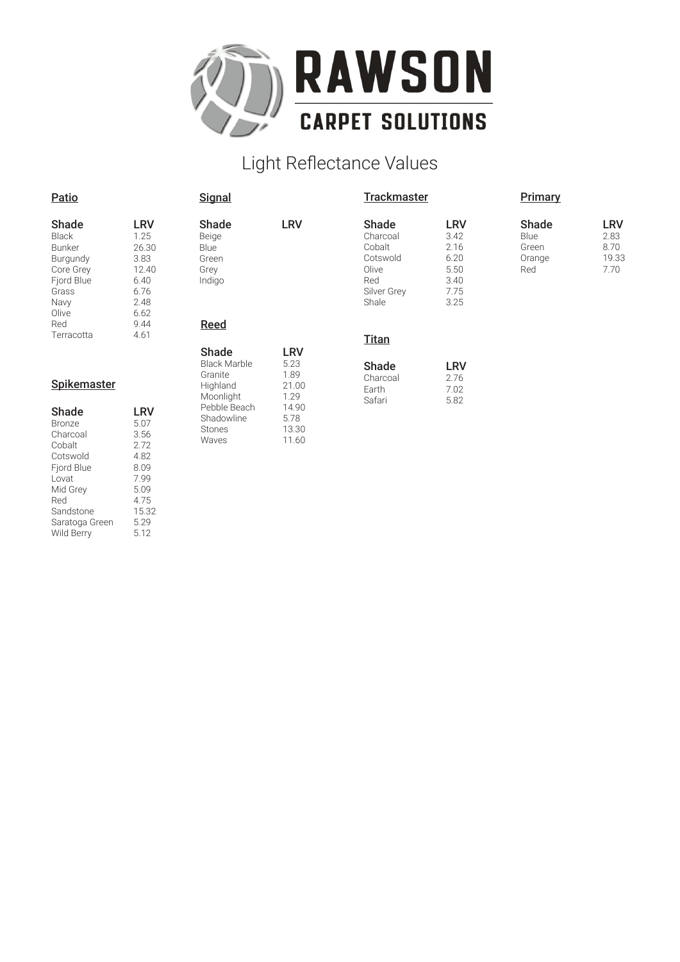

# Light Reflectance Values

| Shade      | LRV   |
|------------|-------|
| Black      | 1.25  |
|            |       |
| Bunker     | 26.30 |
| Burgundy   | 3.83  |
| Core Grey  | 12.40 |
| Fjord Blue | 6.40  |
| Grass      | რ 76  |
| Navy       | 248   |
| Olive      | 6.62  |
| Red        | 944   |
| Terracotta | 4 61  |

| . .  |
|------|
| 9.44 |
| 4.61 |
|      |
|      |
|      |

#### **Spikemaster**

| Shade          | LRV   |
|----------------|-------|
| Bronze         | 5.07  |
| Charcoal       | 3.56  |
| Cobalt         | 272   |
| Cotswold       | 4.82  |
| Fjord Blue     | 8.09  |
| Lovat          | 799   |
| Mid Grev       | 5.09  |
| Red            | 4.75  |
| Sandstone      | 15.32 |
| Saratoga Green | 5.29  |
| Wild Berry     | 5.12  |

### Reed Shade LRV Beige **Blue** Green Grey Indigo

**Signal** 

| Shade         | LRV   |
|---------------|-------|
| Black Marble  | 5.23  |
| Granite       | 1.89  |
| Highland      | 21.00 |
| Moonlight     | 1.29  |
| Pebble Beach  | 14.90 |
| Shadowline    | 5.78  |
| <b>Stones</b> | 13.30 |
| Waves         | 11.60 |

|--|

Olive<br>Red

Shale

**Trackmaster** 

Shade LRV<br>Charcoal 3.42 Charcoal 3.42<br>Cobalt 2.16 Cobalt 2.16<br>Cotswold 6.20 Cotswold 6.20<br>Olive 5.50

Silver Grey 7.75<br>Shale 3.25

3.40

| Shade    | LRV  |
|----------|------|
| Charcoal | 2.76 |
| Earth    | 7.02 |
| Safari   | 5.82 |

### **Primary**

| Shade  | l RV |
|--------|------|
| Blue   | 2.83 |
| Green  | 8.70 |
| Orange | 1933 |
| Red    | 7 70 |
|        |      |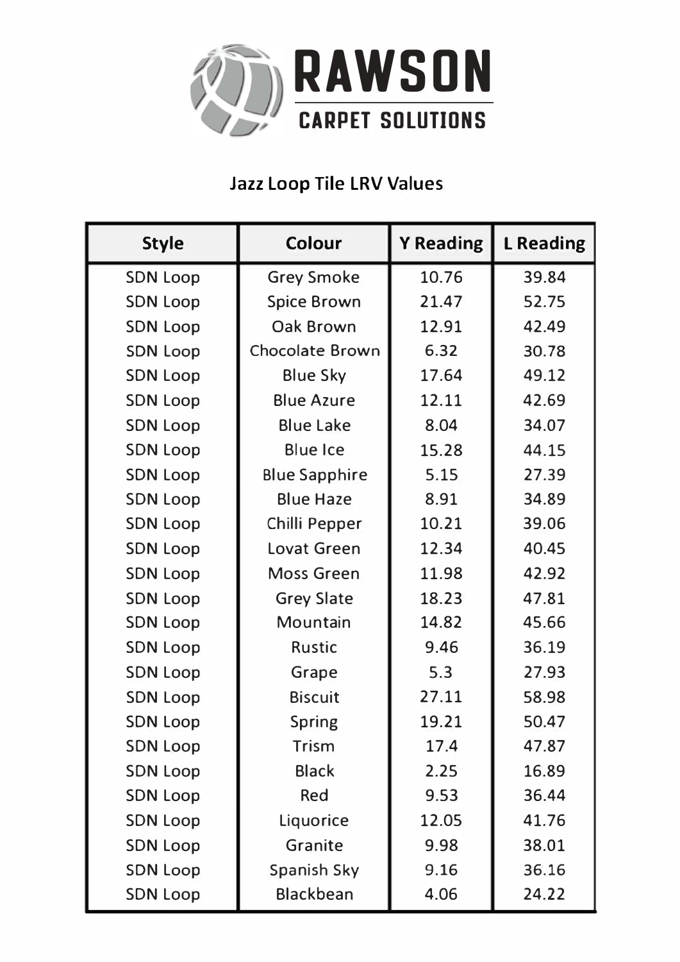

# **Jazz Loop Tile LRV Values**

| <b>Style</b>    | <b>Colour</b>          | <b>Y Reading</b> | <b>L</b> Reading |
|-----------------|------------------------|------------------|------------------|
| <b>SDN Loop</b> | <b>Grey Smoke</b>      | 10.76            | 39.84            |
| <b>SDN Loop</b> | <b>Spice Brown</b>     | 21.47            | 52.75            |
| <b>SDN Loop</b> | <b>Oak Brown</b>       | 12.91            | 42.49            |
| <b>SDN Loop</b> | <b>Chocolate Brown</b> | 6.32             | 30.78            |
| <b>SDN Loop</b> | <b>Blue Sky</b>        | 17.64            | 49.12            |
| <b>SDN Loop</b> | <b>Blue Azure</b>      | 12.11            | 42.69            |
| <b>SDN Loop</b> | <b>Blue Lake</b>       | 8.04             | 34.07            |
| <b>SDN Loop</b> | <b>Blue Ice</b>        | 15.28            | 44.15            |
| <b>SDN Loop</b> | <b>Blue Sapphire</b>   | 5.15             | 27.39            |
| <b>SDN Loop</b> | <b>Blue Haze</b>       | 8.91             | 34.89            |
| <b>SDN Loop</b> | Chilli Pepper          | 10.21            | 39.06            |
| <b>SDN Loop</b> | <b>Lovat Green</b>     | 12.34            | 40.45            |
| <b>SDN Loop</b> | <b>Moss Green</b>      | 11.98            | 42.92            |
| <b>SDN Loop</b> | <b>Grey Slate</b>      | 18.23            | 47.81            |
| <b>SDN Loop</b> | Mountain               | 14.82            | 45.66            |
| <b>SDN Loop</b> | <b>Rustic</b>          | 9.46             | 36.19            |
| <b>SDN Loop</b> | Grape                  | 5.3              | 27.93            |
| <b>SDN Loop</b> | <b>Biscuit</b>         | 27.11            | 58.98            |
| <b>SDN Loop</b> | <b>Spring</b>          | 19.21            | 50.47            |
| <b>SDN Loop</b> | Trism                  | 17.4             | 47.87            |
| <b>SDN Loop</b> | <b>Black</b>           | 2.25             | 16.89            |
| <b>SDN Loop</b> | Red                    | 9.53             | 36.44            |
| <b>SDN Loop</b> | Liquorice              | 12.05            | 41.76            |
| <b>SDN Loop</b> | Granite                | 9.98             | 38.01            |
| <b>SDN Loop</b> | Spanish Sky            | 9.16             | 36.16            |
| <b>SDN Loop</b> | Blackbean              | 4.06             | 24.22            |